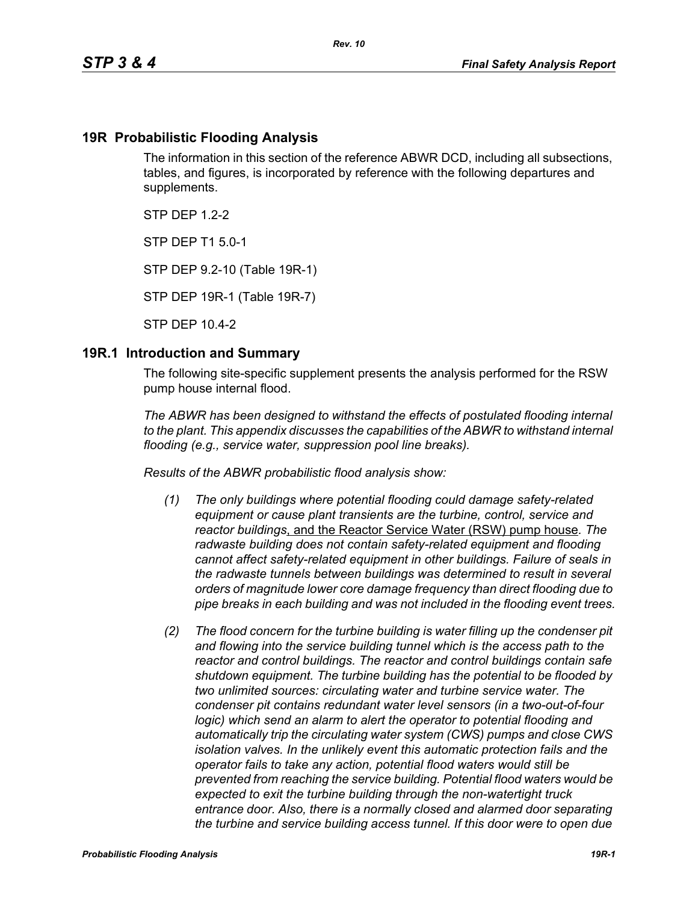### **19R Probabilistic Flooding Analysis**

The information in this section of the reference ABWR DCD, including all subsections, tables, and figures, is incorporated by reference with the following departures and supplements.

 $STP$  DFP 12-2

STP DEP T1 5.0-1

STP DEP 9.2-10 (Table 19R-1)

STP DEP 19R-1 (Table 19R-7)

STP DEP 10.4-2

#### **19R.1 Introduction and Summary**

The following site-specific supplement presents the analysis performed for the RSW pump house internal flood.

*The ABWR has been designed to withstand the effects of postulated flooding internal to the plant. This appendix discusses the capabilities of the ABWR to withstand internal flooding (e.g., service water, suppression pool line breaks).*

*Results of the ABWR probabilistic flood analysis show:*

- *(1) The only buildings where potential flooding could damage safety-related equipment or cause plant transients are the turbine, control, service and reactor buildings*, and the Reactor Service Water (RSW) pump house*. The radwaste building does not contain safety-related equipment and flooding cannot affect safety-related equipment in other buildings. Failure of seals in the radwaste tunnels between buildings was determined to result in several orders of magnitude lower core damage frequency than direct flooding due to pipe breaks in each building and was not included in the flooding event trees.*
- *(2) The flood concern for the turbine building is water filling up the condenser pit and flowing into the service building tunnel which is the access path to the reactor and control buildings. The reactor and control buildings contain safe shutdown equipment. The turbine building has the potential to be flooded by two unlimited sources: circulating water and turbine service water. The condenser pit contains redundant water level sensors (in a two-out-of-four logic)* which send an alarm to alert the operator to potential flooding and *automatically trip the circulating water system (CWS) pumps and close CWS isolation valves. In the unlikely event this automatic protection fails and the operator fails to take any action, potential flood waters would still be prevented from reaching the service building. Potential flood waters would be expected to exit the turbine building through the non-watertight truck entrance door. Also, there is a normally closed and alarmed door separating the turbine and service building access tunnel. If this door were to open due*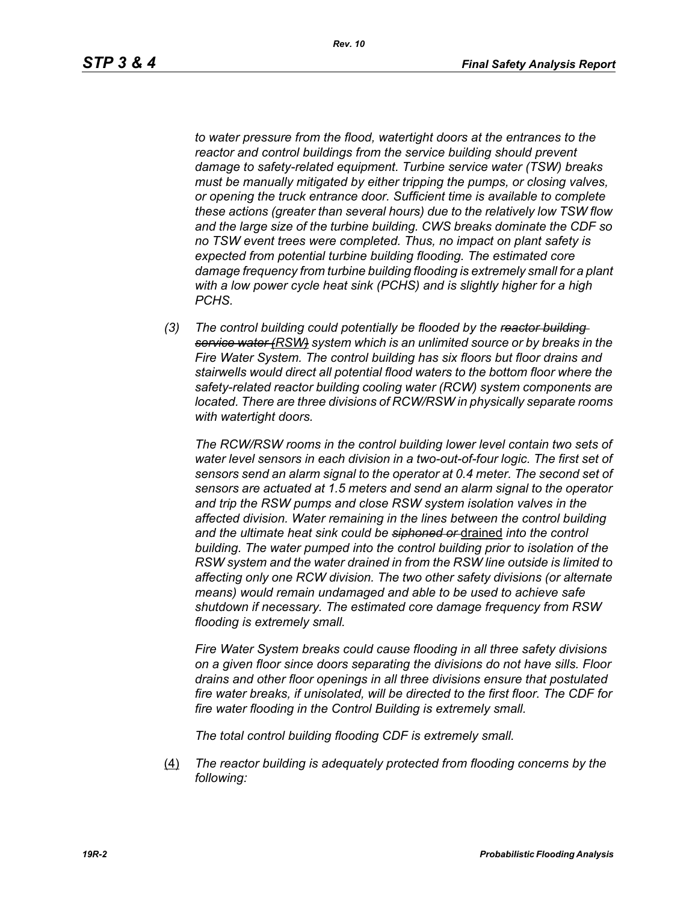*to water pressure from the flood, watertight doors at the entrances to the reactor and control buildings from the service building should prevent damage to safety-related equipment. Turbine service water (TSW) breaks must be manually mitigated by either tripping the pumps, or closing valves, or opening the truck entrance door. Sufficient time is available to complete these actions (greater than several hours) due to the relatively low TSW flow and the large size of the turbine building. CWS breaks dominate the CDF so no TSW event trees were completed. Thus, no impact on plant safety is expected from potential turbine building flooding. The estimated core damage frequency from turbine building flooding is extremely small for a plant with a low power cycle heat sink (PCHS) and is slightly higher for a high PCHS.*

*(3) The control building could potentially be flooded by the reactor building service water (RSW) system which is an unlimited source or by breaks in the Fire Water System. The control building has six floors but floor drains and stairwells would direct all potential flood waters to the bottom floor where the safety-related reactor building cooling water (RCW) system components are located. There are three divisions of RCW/RSW in physically separate rooms with watertight doors.*

*The RCW/RSW rooms in the control building lower level contain two sets of water level sensors in each division in a two-out-of-four logic. The first set of sensors send an alarm signal to the operator at 0.4 meter. The second set of sensors are actuated at 1.5 meters and send an alarm signal to the operator and trip the RSW pumps and close RSW system isolation valves in the affected division. Water remaining in the lines between the control building and the ultimate heat sink could be siphoned or* drained *into the control building. The water pumped into the control building prior to isolation of the RSW system and the water drained in from the RSW line outside is limited to affecting only one RCW division. The two other safety divisions (or alternate means) would remain undamaged and able to be used to achieve safe shutdown if necessary. The estimated core damage frequency from RSW flooding is extremely small.*

*Fire Water System breaks could cause flooding in all three safety divisions on a given floor since doors separating the divisions do not have sills. Floor drains and other floor openings in all three divisions ensure that postulated fire water breaks, if unisolated, will be directed to the first floor. The CDF for fire water flooding in the Control Building is extremely small.*

*The total control building flooding CDF is extremely small.*

(4) *The reactor building is adequately protected from flooding concerns by the following:*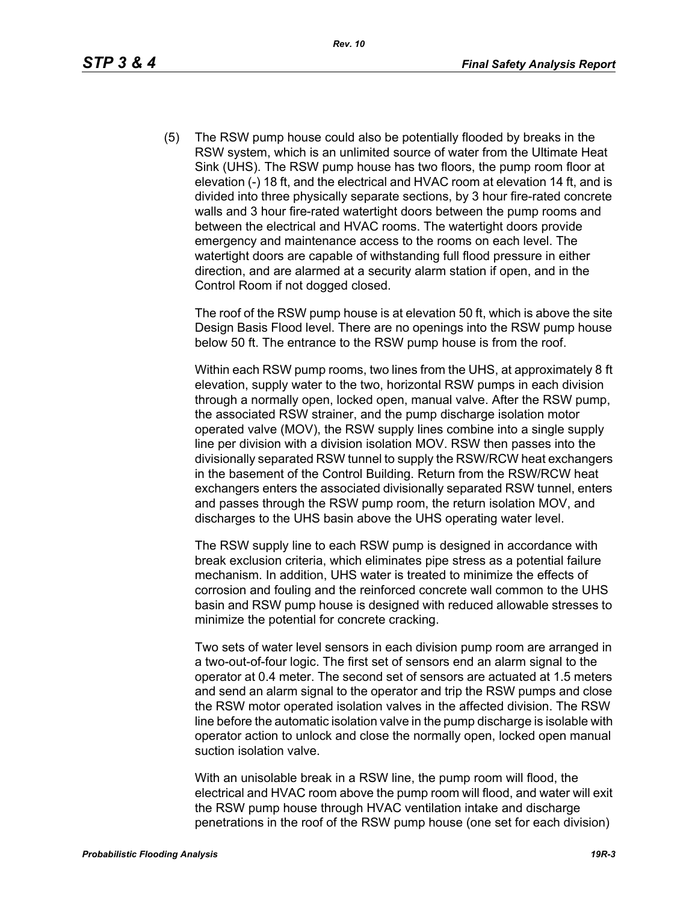(5) The RSW pump house could also be potentially flooded by breaks in the RSW system, which is an unlimited source of water from the Ultimate Heat Sink (UHS). The RSW pump house has two floors, the pump room floor at elevation (-) 18 ft, and the electrical and HVAC room at elevation 14 ft, and is divided into three physically separate sections, by 3 hour fire-rated concrete walls and 3 hour fire-rated watertight doors between the pump rooms and between the electrical and HVAC rooms. The watertight doors provide emergency and maintenance access to the rooms on each level. The watertight doors are capable of withstanding full flood pressure in either direction, and are alarmed at a security alarm station if open, and in the Control Room if not dogged closed.

The roof of the RSW pump house is at elevation 50 ft, which is above the site Design Basis Flood level. There are no openings into the RSW pump house below 50 ft. The entrance to the RSW pump house is from the roof.

Within each RSW pump rooms, two lines from the UHS, at approximately 8 ft elevation, supply water to the two, horizontal RSW pumps in each division through a normally open, locked open, manual valve. After the RSW pump, the associated RSW strainer, and the pump discharge isolation motor operated valve (MOV), the RSW supply lines combine into a single supply line per division with a division isolation MOV. RSW then passes into the divisionally separated RSW tunnel to supply the RSW/RCW heat exchangers in the basement of the Control Building. Return from the RSW/RCW heat exchangers enters the associated divisionally separated RSW tunnel, enters and passes through the RSW pump room, the return isolation MOV, and discharges to the UHS basin above the UHS operating water level.

The RSW supply line to each RSW pump is designed in accordance with break exclusion criteria, which eliminates pipe stress as a potential failure mechanism. In addition, UHS water is treated to minimize the effects of corrosion and fouling and the reinforced concrete wall common to the UHS basin and RSW pump house is designed with reduced allowable stresses to minimize the potential for concrete cracking.

Two sets of water level sensors in each division pump room are arranged in a two-out-of-four logic. The first set of sensors end an alarm signal to the operator at 0.4 meter. The second set of sensors are actuated at 1.5 meters and send an alarm signal to the operator and trip the RSW pumps and close the RSW motor operated isolation valves in the affected division. The RSW line before the automatic isolation valve in the pump discharge is isolable with operator action to unlock and close the normally open, locked open manual suction isolation valve.

With an unisolable break in a RSW line, the pump room will flood, the electrical and HVAC room above the pump room will flood, and water will exit the RSW pump house through HVAC ventilation intake and discharge penetrations in the roof of the RSW pump house (one set for each division)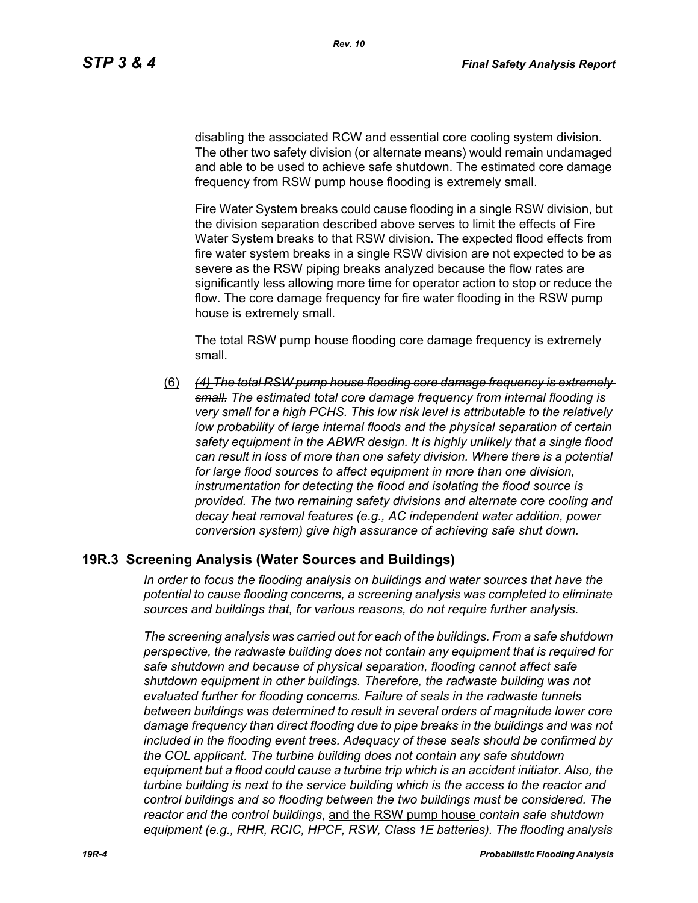disabling the associated RCW and essential core cooling system division. The other two safety division (or alternate means) would remain undamaged and able to be used to achieve safe shutdown. The estimated core damage frequency from RSW pump house flooding is extremely small.

Fire Water System breaks could cause flooding in a single RSW division, but the division separation described above serves to limit the effects of Fire Water System breaks to that RSW division. The expected flood effects from fire water system breaks in a single RSW division are not expected to be as severe as the RSW piping breaks analyzed because the flow rates are significantly less allowing more time for operator action to stop or reduce the flow. The core damage frequency for fire water flooding in the RSW pump house is extremely small.

The total RSW pump house flooding core damage frequency is extremely small.

(6) *(4) The total RSW pump house flooding core damage frequency is extremely small. The estimated total core damage frequency from internal flooding is very small for a high PCHS. This low risk level is attributable to the relatively*  low probability of large internal floods and the physical separation of certain *safety equipment in the ABWR design. It is highly unlikely that a single flood can result in loss of more than one safety division. Where there is a potential for large flood sources to affect equipment in more than one division, instrumentation for detecting the flood and isolating the flood source is provided. The two remaining safety divisions and alternate core cooling and decay heat removal features (e.g., AC independent water addition, power conversion system) give high assurance of achieving safe shut down.*

### **19R.3 Screening Analysis (Water Sources and Buildings)**

*In order to focus the flooding analysis on buildings and water sources that have the potential to cause flooding concerns, a screening analysis was completed to eliminate sources and buildings that, for various reasons, do not require further analysis.*

*The screening analysis was carried out for each of the buildings. From a safe shutdown perspective, the radwaste building does not contain any equipment that is required for safe shutdown and because of physical separation, flooding cannot affect safe shutdown equipment in other buildings. Therefore, the radwaste building was not evaluated further for flooding concerns. Failure of seals in the radwaste tunnels between buildings was determined to result in several orders of magnitude lower core damage frequency than direct flooding due to pipe breaks in the buildings and was not included in the flooding event trees. Adequacy of these seals should be confirmed by the COL applicant. The turbine building does not contain any safe shutdown equipment but a flood could cause a turbine trip which is an accident initiator. Also, the turbine building is next to the service building which is the access to the reactor and control buildings and so flooding between the two buildings must be considered. The reactor and the control buildings*, and the RSW pump house *contain safe shutdown equipment (e.g., RHR, RCIC, HPCF, RSW, Class 1E batteries). The flooding analysis*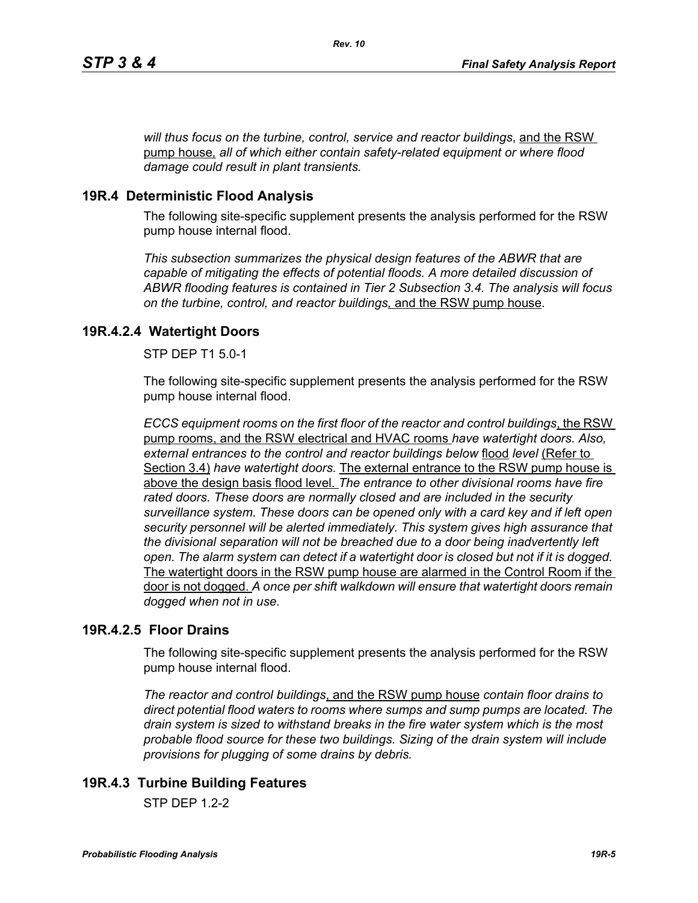*will thus focus on the turbine, control, service and reactor buildings*, and the RSW pump house*, all of which either contain safety-related equipment or where flood damage could result in plant transients.*

## **19R.4 Deterministic Flood Analysis**

The following site-specific supplement presents the analysis performed for the RSW pump house internal flood.

*This subsection summarizes the physical design features of the ABWR that are capable of mitigating the effects of potential floods. A more detailed discussion of ABWR flooding features is contained in Tier 2 Subsection 3.4. The analysis will focus on the turbine, control, and reactor buildings,* and the RSW pump house.

## **19R.4.2.4 Watertight Doors**

STP DEP T1 5.0-1

The following site-specific supplement presents the analysis performed for the RSW pump house internal flood.

*ECCS equipment rooms on the first floor of the reactor and control buildings*, the RSW pump rooms, and the RSW electrical and HVAC rooms *have watertight doors. Also, external entrances to the control and reactor buildings below* flood *level* (Refer to Section 3.4) *have watertight doors.* The external entrance to the RSW pump house is above the design basis flood level. *The entrance to other divisional rooms have fire rated doors. These doors are normally closed and are included in the security surveillance system. These doors can be opened only with a card key and if left open security personnel will be alerted immediately. This system gives high assurance that the divisional separation will not be breached due to a door being inadvertently left open. The alarm system can detect if a watertight door is closed but not if it is dogged.*  The watertight doors in the RSW pump house are alarmed in the Control Room if the door is not dogged. *A once per shift walkdown will ensure that watertight doors remain dogged when not in use.*

### **19R.4.2.5 Floor Drains**

The following site-specific supplement presents the analysis performed for the RSW pump house internal flood.

*The reactor and control buildings*, and the RSW pump house *contain floor drains to direct potential flood waters to rooms where sumps and sump pumps are located. The drain system is sized to withstand breaks in the fire water system which is the most probable flood source for these two buildings. Sizing of the drain system will include provisions for plugging of some drains by debris.*

# **19R.4.3 Turbine Building Features**

 $STP$  DFP 12-2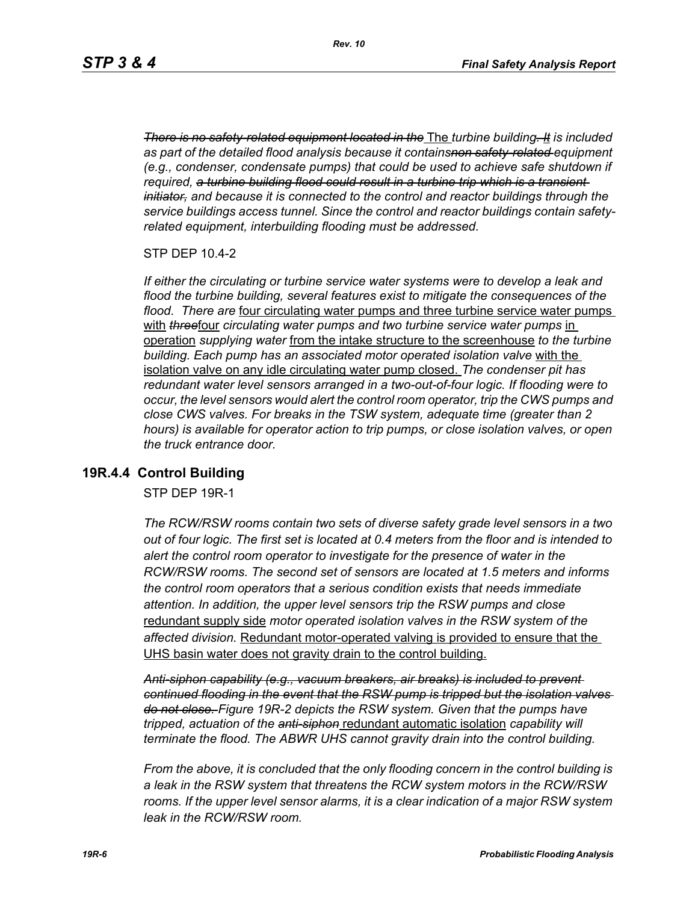*There is no safety-related equipment located in the* The *turbine building. It is included as part of the detailed flood analysis because it containsnon safety-related equipment (e.g., condenser, condensate pumps) that could be used to achieve safe shutdown if required, a turbine building flood could result in a turbine trip which is a transient initiator, and because it is connected to the control and reactor buildings through the service buildings access tunnel. Since the control and reactor buildings contain safetyrelated equipment, interbuilding flooding must be addressed.*

STP DEP 10.4-2

*If either the circulating or turbine service water systems were to develop a leak and flood the turbine building, several features exist to mitigate the consequences of the flood. There are* four circulating water pumps and three turbine service water pumps with **threefour** circulating water pumps and two turbine service water pumps in operation *supplying water* from the intake structure to the screenhouse *to the turbine building. Each pump has an associated motor operated isolation valve* with the isolation valve on any idle circulating water pump closed. *The condenser pit has redundant water level sensors arranged in a two-out-of-four logic. If flooding were to occur, the level sensors would alert the control room operator, trip the CWS pumps and close CWS valves. For breaks in the TSW system, adequate time (greater than 2 hours) is available for operator action to trip pumps, or close isolation valves, or open the truck entrance door.*

### **19R.4.4 Control Building**

STP DEP 19R-1

*The RCW/RSW rooms contain two sets of diverse safety grade level sensors in a two out of four logic. The first set is located at 0.4 meters from the floor and is intended to alert the control room operator to investigate for the presence of water in the RCW/RSW rooms. The second set of sensors are located at 1.5 meters and informs the control room operators that a serious condition exists that needs immediate attention. In addition, the upper level sensors trip the RSW pumps and close*  redundant supply side *motor operated isolation valves in the RSW system of the affected division.* Redundant motor-operated valving is provided to ensure that the UHS basin water does not gravity drain to the control building.

*Anti-siphon capability (e.g., vacuum breakers, air breaks) is included to prevent continued flooding in the event that the RSW pump is tripped but the isolation valves do not close. Figure 19R-2 depicts the RSW system. Given that the pumps have tripped, actuation of the anti-siphon* redundant automatic isolation *capability will terminate the flood. The ABWR UHS cannot gravity drain into the control building.*

*From the above, it is concluded that the only flooding concern in the control building is a leak in the RSW system that threatens the RCW system motors in the RCW/RSW*  rooms. If the upper level sensor alarms, it is a clear indication of a major RSW system *leak in the RCW/RSW room.*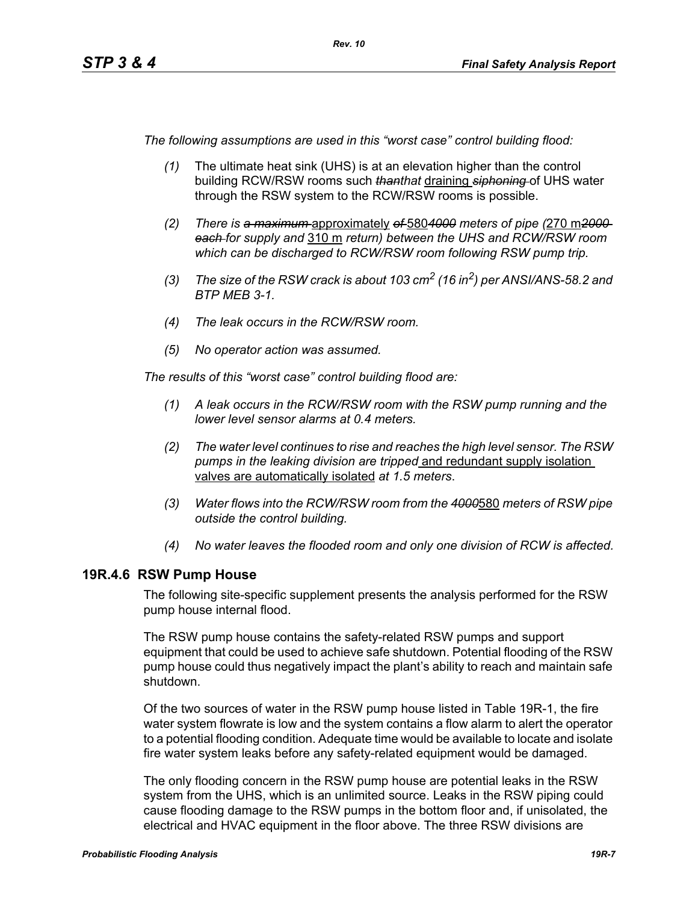*The following assumptions are used in this "worst case" control building flood:*

- *(1)* The ultimate heat sink (UHS) is at an elevation higher than the control building RCW/RSW rooms such *thanthat* draining *siphoning* of UHS water through the RSW system to the RCW/RSW rooms is possible.
- *(2) There is a maximum* approximately *of* 580*4000 meters of pipe (*270 m*2000 each for supply and* 310 m *return) between the UHS and RCW/RSW room which can be discharged to RCW/RSW room following RSW pump trip.*
- *(3) The size of the RSW crack is about 103 cm2 (16 in2) per ANSI/ANS-58.2 and BTP MEB 3-1.*
- *(4) The leak occurs in the RCW/RSW room.*
- *(5) No operator action was assumed.*

*The results of this "worst case" control building flood are:*

- *(1) A leak occurs in the RCW/RSW room with the RSW pump running and the lower level sensor alarms at 0.4 meters.*
- *(2) The water level continues to rise and reaches the high level sensor. The RSW pumps in the leaking division are tripped* and redundant supply isolation valves are automatically isolated *at 1.5 meters*.
- *(3) Water flows into the RCW/RSW room from the 4000*580 *meters of RSW pipe outside the control building.*
- *(4) No water leaves the flooded room and only one division of RCW is affected.*

### **19R.4.6 RSW Pump House**

The following site-specific supplement presents the analysis performed for the RSW pump house internal flood.

The RSW pump house contains the safety-related RSW pumps and support equipment that could be used to achieve safe shutdown. Potential flooding of the RSW pump house could thus negatively impact the plant's ability to reach and maintain safe shutdown.

Of the two sources of water in the RSW pump house listed in Table 19R-1, the fire water system flowrate is low and the system contains a flow alarm to alert the operator to a potential flooding condition. Adequate time would be available to locate and isolate fire water system leaks before any safety-related equipment would be damaged.

The only flooding concern in the RSW pump house are potential leaks in the RSW system from the UHS, which is an unlimited source. Leaks in the RSW piping could cause flooding damage to the RSW pumps in the bottom floor and, if unisolated, the electrical and HVAC equipment in the floor above. The three RSW divisions are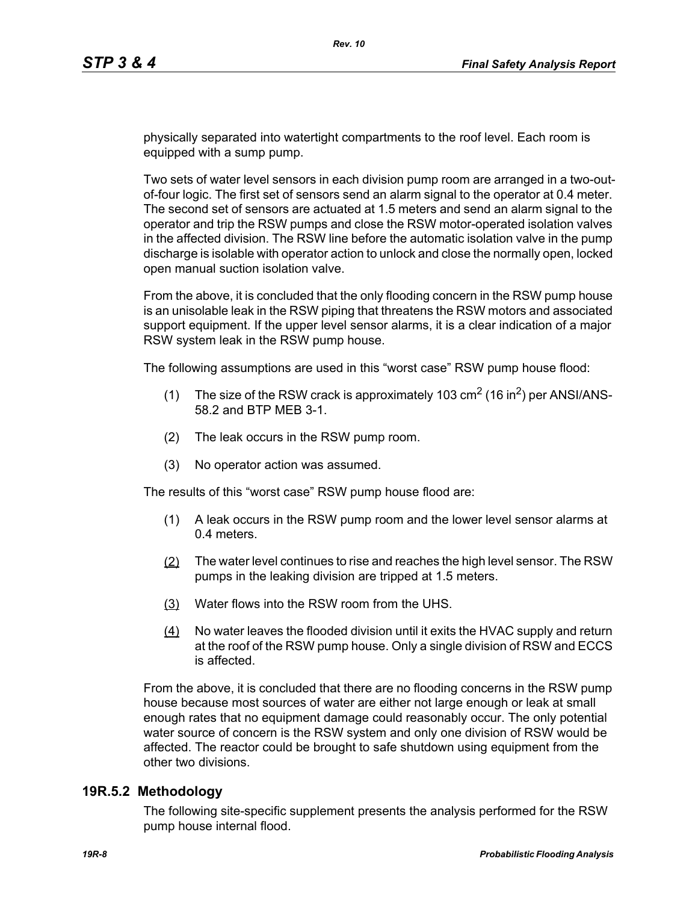physically separated into watertight compartments to the roof level. Each room is equipped with a sump pump.

Two sets of water level sensors in each division pump room are arranged in a two-outof-four logic. The first set of sensors send an alarm signal to the operator at 0.4 meter. The second set of sensors are actuated at 1.5 meters and send an alarm signal to the operator and trip the RSW pumps and close the RSW motor-operated isolation valves in the affected division. The RSW line before the automatic isolation valve in the pump discharge is isolable with operator action to unlock and close the normally open, locked open manual suction isolation valve.

From the above, it is concluded that the only flooding concern in the RSW pump house is an unisolable leak in the RSW piping that threatens the RSW motors and associated support equipment. If the upper level sensor alarms, it is a clear indication of a major RSW system leak in the RSW pump house.

The following assumptions are used in this "worst case" RSW pump house flood:

- (1) The size of the RSW crack is approximately 103  $\text{cm}^2$  (16 in<sup>2</sup>) per ANSI/ANS-58.2 and BTP MEB 3-1.
- (2) The leak occurs in the RSW pump room.
- (3) No operator action was assumed.

The results of this "worst case" RSW pump house flood are:

- (1) A leak occurs in the RSW pump room and the lower level sensor alarms at 0.4 meters.
- (2) The water level continues to rise and reaches the high level sensor. The RSW pumps in the leaking division are tripped at 1.5 meters.
- (3) Water flows into the RSW room from the UHS.
- (4) No water leaves the flooded division until it exits the HVAC supply and return at the roof of the RSW pump house. Only a single division of RSW and ECCS is affected.

From the above, it is concluded that there are no flooding concerns in the RSW pump house because most sources of water are either not large enough or leak at small enough rates that no equipment damage could reasonably occur. The only potential water source of concern is the RSW system and only one division of RSW would be affected. The reactor could be brought to safe shutdown using equipment from the other two divisions.

#### **19R.5.2 Methodology**

The following site-specific supplement presents the analysis performed for the RSW pump house internal flood.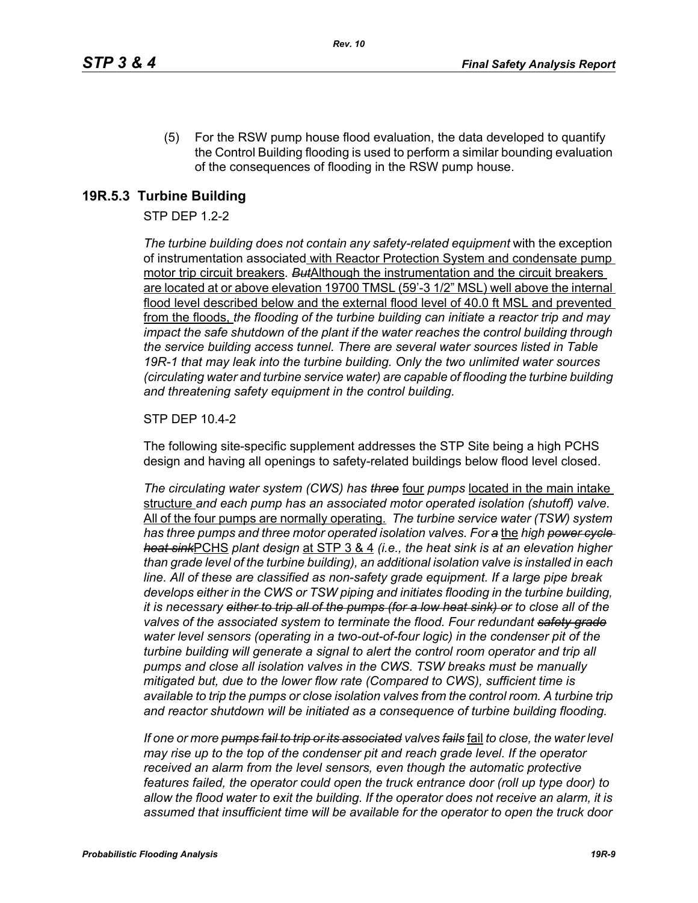(5) For the RSW pump house flood evaluation, the data developed to quantify the Control Building flooding is used to perform a similar bounding evaluation of the consequences of flooding in the RSW pump house.

### **19R.5.3 Turbine Building**

#### STP DEP 1.2-2

*The turbine building does not contain any safety-related equipment* with the exception of instrumentation associated with Reactor Protection System and condensate pump motor trip circuit breakers*. But*Although the instrumentation and the circuit breakers are located at or above elevation 19700 TMSL (59'-3 1/2" MSL) well above the internal flood level described below and the external flood level of 40.0 ft MSL and prevented from the floods, *the flooding of the turbine building can initiate a reactor trip and may impact the safe shutdown of the plant if the water reaches the control building through the service building access tunnel. There are several water sources listed in Table 19R-1 that may leak into the turbine building. Only the two unlimited water sources (circulating water and turbine service water) are capable of flooding the turbine building and threatening safety equipment in the control building.*

#### STP DEP 10.4-2

The following site-specific supplement addresses the STP Site being a high PCHS design and having all openings to safety-related buildings below flood level closed.

*The circulating water system (CWS) has three* four *pumps* located in the main intake structure *and each pump has an associated motor operated isolation (shutoff) valve.*  All of the four pumps are normally operating. *The turbine service water (TSW) system has three pumps and three motor operated isolation valves. For a* the *high power cycle heat sink*PCHS *plant design* at STP 3 & 4 *(i.e., the heat sink is at an elevation higher than grade level of the turbine building), an additional isolation valve is installed in each line. All of these are classified as non-safety grade equipment. If a large pipe break develops either in the CWS or TSW piping and initiates flooding in the turbine building, it is necessary either to trip all of the pumps (for a low heat sink) or to close all of the valves of the associated system to terminate the flood. Four redundant safety grade water level sensors (operating in a two-out-of-four logic) in the condenser pit of the turbine building will generate a signal to alert the control room operator and trip all pumps and close all isolation valves in the CWS. TSW breaks must be manually mitigated but, due to the lower flow rate (Compared to CWS), sufficient time is available to trip the pumps or close isolation valves from the control room. A turbine trip and reactor shutdown will be initiated as a consequence of turbine building flooding.*

*If one or more pumps fail to trip or its associated valves fails* fail *to close, the water level may rise up to the top of the condenser pit and reach grade level. If the operator received an alarm from the level sensors, even though the automatic protective features failed, the operator could open the truck entrance door (roll up type door) to allow the flood water to exit the building. If the operator does not receive an alarm, it is assumed that insufficient time will be available for the operator to open the truck door*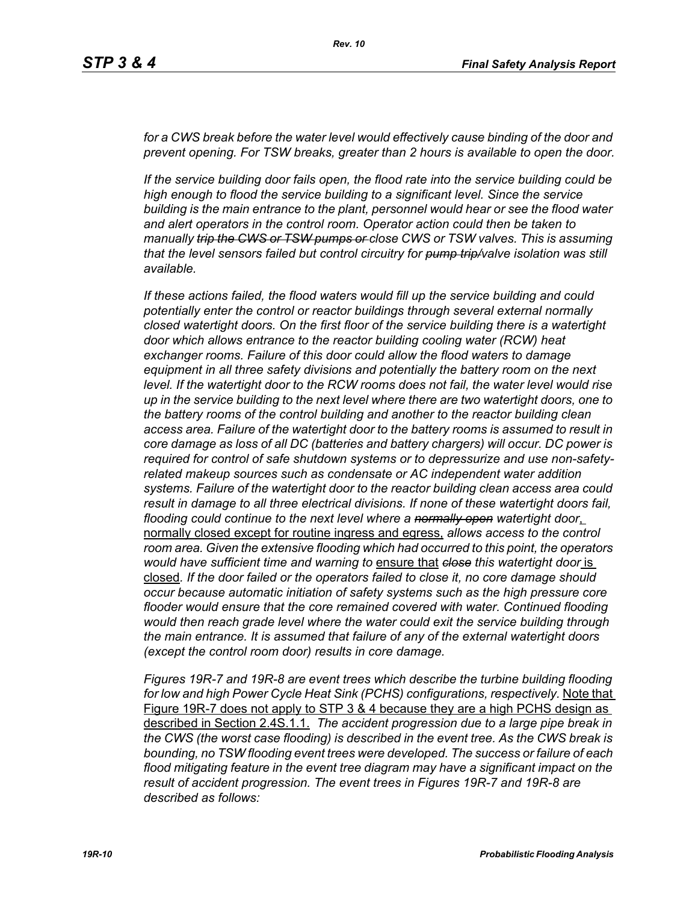for a CWS break before the water level would effectively cause binding of the door and *prevent opening. For TSW breaks, greater than 2 hours is available to open the door.*

*If the service building door fails open, the flood rate into the service building could be high enough to flood the service building to a significant level. Since the service building is the main entrance to the plant, personnel would hear or see the flood water and alert operators in the control room. Operator action could then be taken to manually trip the CWS or TSW pumps or close CWS or TSW valves. This is assuming that the level sensors failed but control circuitry for pump trip/valve isolation was still available.*

*If these actions failed, the flood waters would fill up the service building and could potentially enter the control or reactor buildings through several external normally closed watertight doors. On the first floor of the service building there is a watertight door which allows entrance to the reactor building cooling water (RCW) heat exchanger rooms. Failure of this door could allow the flood waters to damage equipment in all three safety divisions and potentially the battery room on the next level. If the watertight door to the RCW rooms does not fail, the water level would rise up in the service building to the next level where there are two watertight doors, one to the battery rooms of the control building and another to the reactor building clean access area. Failure of the watertight door to the battery rooms is assumed to result in core damage as loss of all DC (batteries and battery chargers) will occur. DC power is required for control of safe shutdown systems or to depressurize and use non-safetyrelated makeup sources such as condensate or AC independent water addition systems. Failure of the watertight door to the reactor building clean access area could result in damage to all three electrical divisions. If none of these watertight doors fail, flooding could continue to the next level where a normally open watertight door*, normally closed except for routine ingress and egress, *allows access to the control room area. Given the extensive flooding which had occurred to this point, the operators would have sufficient time and warning to* ensure that *close this watertight door* is closed*. If the door failed or the operators failed to close it, no core damage should occur because automatic initiation of safety systems such as the high pressure core flooder would ensure that the core remained covered with water. Continued flooding would then reach grade level where the water could exit the service building through the main entrance. It is assumed that failure of any of the external watertight doors (except the control room door) results in core damage.*

*Figures 19R-7 and 19R-8 are event trees which describe the turbine building flooding for low and high Power Cycle Heat Sink (PCHS) configurations, respectively.* Note that Figure 19R-7 does not apply to STP 3 & 4 because they are a high PCHS design as described in Section 2.4S.1.1. *The accident progression due to a large pipe break in the CWS (the worst case flooding) is described in the event tree. As the CWS break is bounding, no TSW flooding event trees were developed. The success or failure of each flood mitigating feature in the event tree diagram may have a significant impact on the result of accident progression. The event trees in Figures 19R-7 and 19R-8 are described as follows:*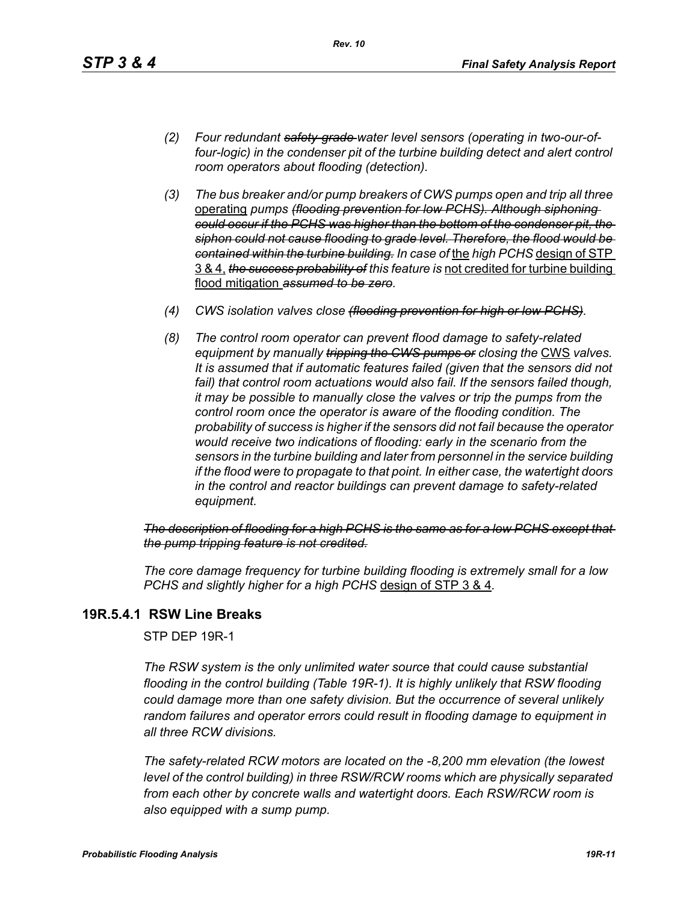- *(2) Four redundant safety-grade water level sensors (operating in two-our-offour-logic) in the condenser pit of the turbine building detect and alert control room operators about flooding (detection).*
- *(3) The bus breaker and/or pump breakers of CWS pumps open and trip all three*  operating *pumps (flooding prevention for low PCHS). Although siphoning could occur if the PCHS was higher than the bottom of the condenser pit, the siphon could not cause flooding to grade level. Therefore, the flood would be contained within the turbine building. In case of* the *high PCHS* design of STP 3 & 4, *the success probability of this feature is* not credited for turbine building flood mitigation *assumed to be zero.*
- *(4) CWS isolation valves close (flooding prevention for high or low PCHS).*
- *(8) The control room operator can prevent flood damage to safety-related equipment by manually tripping the GWS pumps or closing the CWS valves. It is assumed that if automatic features failed (given that the sensors did not*  fail) that control room actuations would also fail. If the sensors failed though, *it may be possible to manually close the valves or trip the pumps from the control room once the operator is aware of the flooding condition. The probability of success is higher if the sensors did not fail because the operator would receive two indications of flooding: early in the scenario from the sensors in the turbine building and later from personnel in the service building if the flood were to propagate to that point. In either case, the watertight doors in the control and reactor buildings can prevent damage to safety-related equipment.*

*The description of flooding for a high PCHS is the same as for a low PCHS except that the pump tripping feature is not credited.*

*The core damage frequency for turbine building flooding is extremely small for a low PCHS and slightly higher for a high PCHS* design of STP 3 & 4*.*

### **19R.5.4.1 RSW Line Breaks**

STP DEP 19R-1

*The RSW system is the only unlimited water source that could cause substantial flooding in the control building (Table 19R-1). It is highly unlikely that RSW flooding could damage more than one safety division. But the occurrence of several unlikely random failures and operator errors could result in flooding damage to equipment in all three RCW divisions.* 

*The safety-related RCW motors are located on the -8,200 mm elevation (the lowest level of the control building) in three RSW/RCW rooms which are physically separated from each other by concrete walls and watertight doors. Each RSW/RCW room is also equipped with a sump pump.*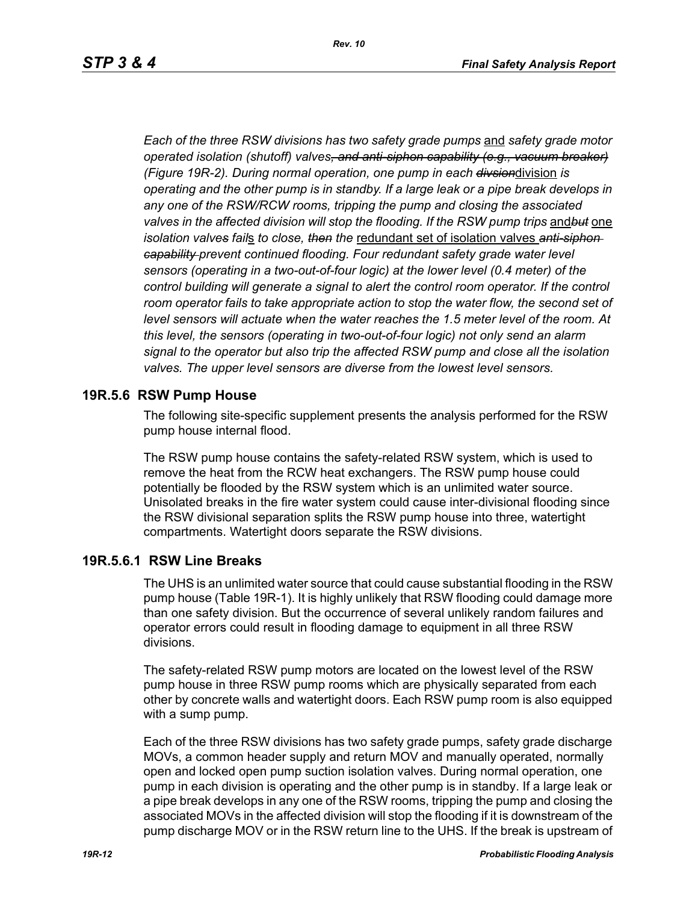*Each of the three RSW divisions has two safety grade pumps* and *safety grade motor operated isolation (shutoff) valves, and anti-siphon capability (e.g., vacuum breaker) (Figure 19R-2). During normal operation, one pump in each divsion*division *is operating and the other pump is in standby. If a large leak or a pipe break develops in any one of the RSW/RCW rooms, tripping the pump and closing the associated valves in the affected division will stop the flooding. If the RSW pump trips* and*but* one *isolation valves fail*s *to close, then the* redundant set of isolation valves *anti-siphon capability prevent continued flooding. Four redundant safety grade water level sensors (operating in a two-out-of-four logic) at the lower level (0.4 meter) of the control building will generate a signal to alert the control room operator. If the control* room operator fails to take appropriate action to stop the water flow, the second set of *level sensors will actuate when the water reaches the 1.5 meter level of the room. At this level, the sensors (operating in two-out-of-four logic) not only send an alarm signal to the operator but also trip the affected RSW pump and close all the isolation valves. The upper level sensors are diverse from the lowest level sensors.*

#### **19R.5.6 RSW Pump House**

The following site-specific supplement presents the analysis performed for the RSW pump house internal flood.

The RSW pump house contains the safety-related RSW system, which is used to remove the heat from the RCW heat exchangers. The RSW pump house could potentially be flooded by the RSW system which is an unlimited water source. Unisolated breaks in the fire water system could cause inter-divisional flooding since the RSW divisional separation splits the RSW pump house into three, watertight compartments. Watertight doors separate the RSW divisions.

### **19R.5.6.1 RSW Line Breaks**

The UHS is an unlimited water source that could cause substantial flooding in the RSW pump house (Table 19R-1). It is highly unlikely that RSW flooding could damage more than one safety division. But the occurrence of several unlikely random failures and operator errors could result in flooding damage to equipment in all three RSW divisions.

The safety-related RSW pump motors are located on the lowest level of the RSW pump house in three RSW pump rooms which are physically separated from each other by concrete walls and watertight doors. Each RSW pump room is also equipped with a sump pump.

Each of the three RSW divisions has two safety grade pumps, safety grade discharge MOVs, a common header supply and return MOV and manually operated, normally open and locked open pump suction isolation valves. During normal operation, one pump in each division is operating and the other pump is in standby. If a large leak or a pipe break develops in any one of the RSW rooms, tripping the pump and closing the associated MOVs in the affected division will stop the flooding if it is downstream of the pump discharge MOV or in the RSW return line to the UHS. If the break is upstream of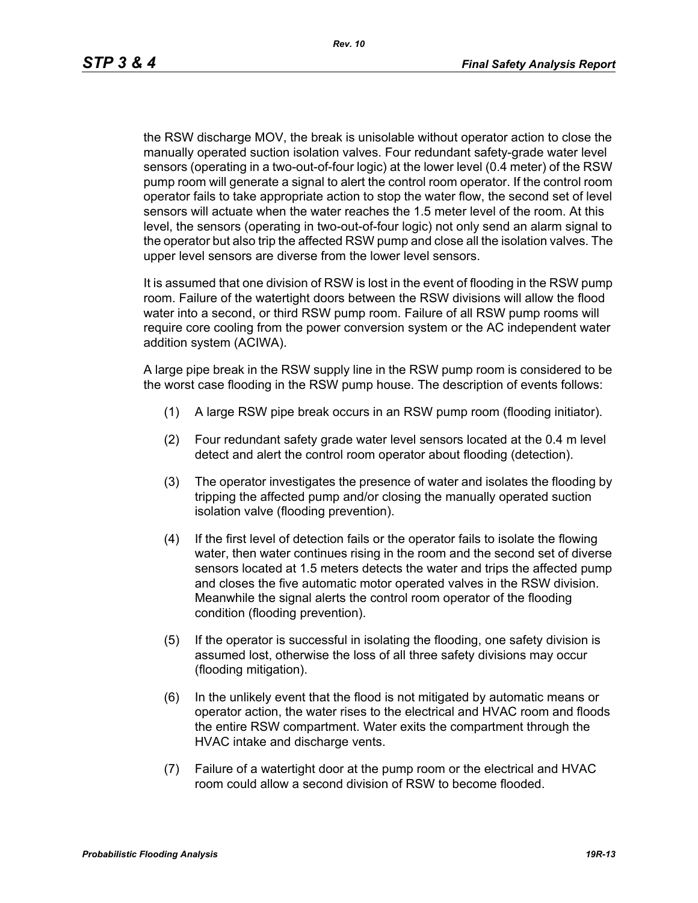the RSW discharge MOV, the break is unisolable without operator action to close the manually operated suction isolation valves. Four redundant safety-grade water level sensors (operating in a two-out-of-four logic) at the lower level (0.4 meter) of the RSW pump room will generate a signal to alert the control room operator. If the control room operator fails to take appropriate action to stop the water flow, the second set of level sensors will actuate when the water reaches the 1.5 meter level of the room. At this level, the sensors (operating in two-out-of-four logic) not only send an alarm signal to the operator but also trip the affected RSW pump and close all the isolation valves. The upper level sensors are diverse from the lower level sensors.

It is assumed that one division of RSW is lost in the event of flooding in the RSW pump room. Failure of the watertight doors between the RSW divisions will allow the flood water into a second, or third RSW pump room. Failure of all RSW pump rooms will require core cooling from the power conversion system or the AC independent water addition system (ACIWA).

A large pipe break in the RSW supply line in the RSW pump room is considered to be the worst case flooding in the RSW pump house. The description of events follows:

- (1) A large RSW pipe break occurs in an RSW pump room (flooding initiator).
- (2) Four redundant safety grade water level sensors located at the 0.4 m level detect and alert the control room operator about flooding (detection).
- (3) The operator investigates the presence of water and isolates the flooding by tripping the affected pump and/or closing the manually operated suction isolation valve (flooding prevention).
- (4) If the first level of detection fails or the operator fails to isolate the flowing water, then water continues rising in the room and the second set of diverse sensors located at 1.5 meters detects the water and trips the affected pump and closes the five automatic motor operated valves in the RSW division. Meanwhile the signal alerts the control room operator of the flooding condition (flooding prevention).
- (5) If the operator is successful in isolating the flooding, one safety division is assumed lost, otherwise the loss of all three safety divisions may occur (flooding mitigation).
- (6) In the unlikely event that the flood is not mitigated by automatic means or operator action, the water rises to the electrical and HVAC room and floods the entire RSW compartment. Water exits the compartment through the HVAC intake and discharge vents.
- (7) Failure of a watertight door at the pump room or the electrical and HVAC room could allow a second division of RSW to become flooded.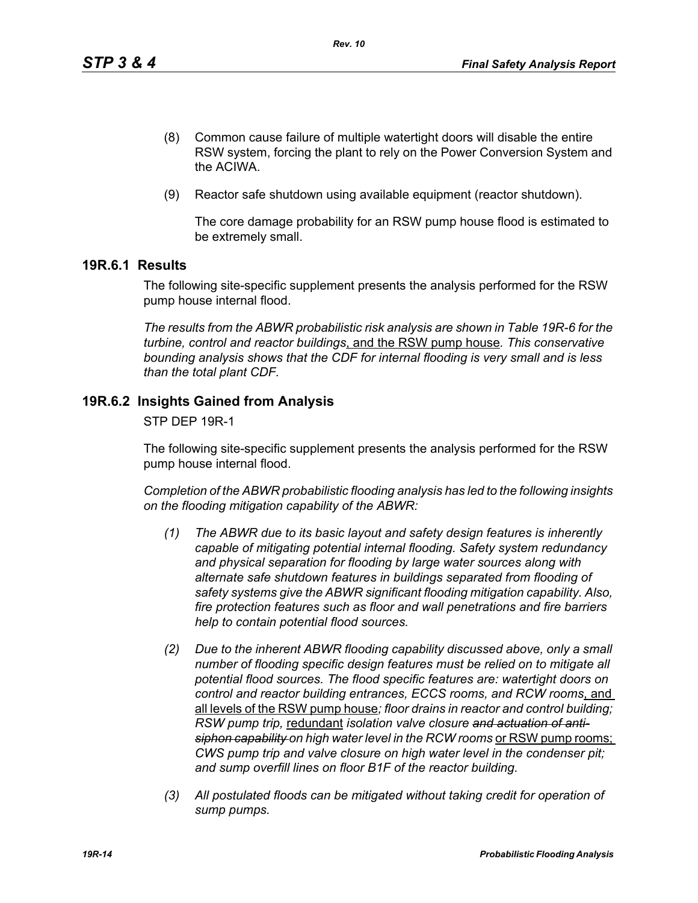- (8) Common cause failure of multiple watertight doors will disable the entire RSW system, forcing the plant to rely on the Power Conversion System and the ACIWA.
- (9) Reactor safe shutdown using available equipment (reactor shutdown).

The core damage probability for an RSW pump house flood is estimated to be extremely small.

### **19R.6.1 Results**

The following site-specific supplement presents the analysis performed for the RSW pump house internal flood.

*The results from the ABWR probabilistic risk analysis are shown in Table 19R-6 for the turbine, control and reactor buildings*, and the RSW pump house*. This conservative bounding analysis shows that the CDF for internal flooding is very small and is less than the total plant CDF.*

### **19R.6.2 Insights Gained from Analysis**

STP DEP 19R-1

The following site-specific supplement presents the analysis performed for the RSW pump house internal flood.

*Completion of the ABWR probabilistic flooding analysis has led to the following insights on the flooding mitigation capability of the ABWR:*

- *(1) The ABWR due to its basic layout and safety design features is inherently capable of mitigating potential internal flooding. Safety system redundancy and physical separation for flooding by large water sources along with alternate safe shutdown features in buildings separated from flooding of safety systems give the ABWR significant flooding mitigation capability. Also, fire protection features such as floor and wall penetrations and fire barriers help to contain potential flood sources.*
- *(2) Due to the inherent ABWR flooding capability discussed above, only a small number of flooding specific design features must be relied on to mitigate all potential flood sources. The flood specific features are: watertight doors on control and reactor building entrances, ECCS rooms, and RCW rooms*, and all levels of the RSW pump house*; floor drains in reactor and control building; RSW pump trip,* redundant *isolation valve closure and actuation of anti*siphon capability on high water level in the RCW rooms or RSW pump rooms; *CWS pump trip and valve closure on high water level in the condenser pit; and sump overfill lines on floor B1F of the reactor building.*
- *(3) All postulated floods can be mitigated without taking credit for operation of sump pumps.*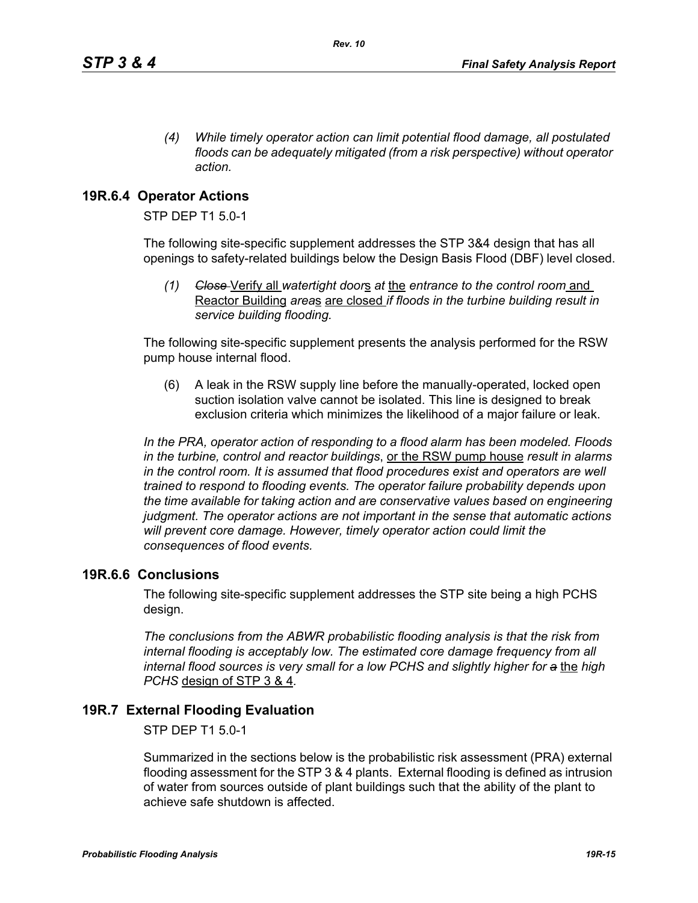*(4) While timely operator action can limit potential flood damage, all postulated floods can be adequately mitigated (from a risk perspective) without operator action.*

## **19R.6.4 Operator Actions**

STP DEP T1 5.0-1

The following site-specific supplement addresses the STP 3&4 design that has all openings to safety-related buildings below the Design Basis Flood (DBF) level closed.

*(1) Close* Verify all *watertight door*s *at* the *entrance to the control room* and Reactor Building *area*s are closed *if floods in the turbine building result in service building flooding.*

The following site-specific supplement presents the analysis performed for the RSW pump house internal flood.

(6) A leak in the RSW supply line before the manually-operated, locked open suction isolation valve cannot be isolated. This line is designed to break exclusion criteria which minimizes the likelihood of a major failure or leak.

*In the PRA, operator action of responding to a flood alarm has been modeled. Floods in the turbine, control and reactor buildings*, or the RSW pump house *result in alarms in the control room. It is assumed that flood procedures exist and operators are well trained to respond to flooding events. The operator failure probability depends upon the time available for taking action and are conservative values based on engineering judgment. The operator actions are not important in the sense that automatic actions will prevent core damage. However, timely operator action could limit the consequences of flood events.* 

### **19R.6.6 Conclusions**

The following site-specific supplement addresses the STP site being a high PCHS design.

*The conclusions from the ABWR probabilistic flooding analysis is that the risk from internal flooding is acceptably low. The estimated core damage frequency from all internal flood sources is very small for a low PCHS and slightly higher for a* the *high PCHS* design of STP 3 & 4*.*

### **19R.7 External Flooding Evaluation**

STP DEP T1 5.0-1

Summarized in the sections below is the probabilistic risk assessment (PRA) external flooding assessment for the STP 3 & 4 plants. External flooding is defined as intrusion of water from sources outside of plant buildings such that the ability of the plant to achieve safe shutdown is affected.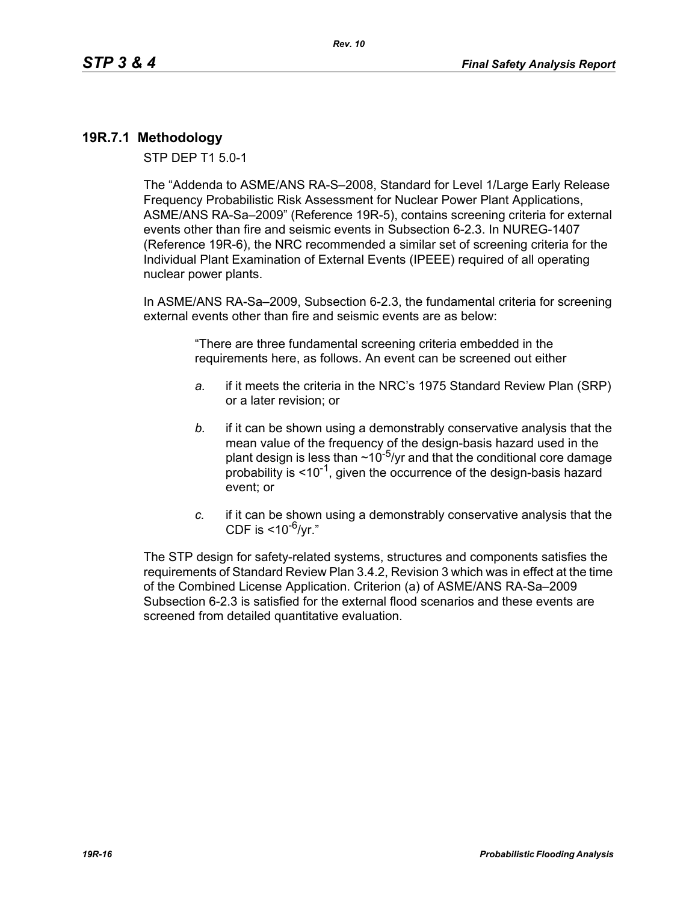### **19R.7.1 Methodology**

STP DEP T1 5.0-1

The "Addenda to ASME/ANS RA-S–2008, Standard for Level 1/Large Early Release Frequency Probabilistic Risk Assessment for Nuclear Power Plant Applications, ASME/ANS RA-Sa–2009" (Reference 19R-5), contains screening criteria for external events other than fire and seismic events in Subsection 6-2.3. In NUREG-1407 (Reference 19R-6), the NRC recommended a similar set of screening criteria for the Individual Plant Examination of External Events (IPEEE) required of all operating nuclear power plants.

In ASME/ANS RA-Sa–2009, Subsection 6-2.3, the fundamental criteria for screening external events other than fire and seismic events are as below:

> "There are three fundamental screening criteria embedded in the requirements here, as follows. An event can be screened out either

- *a.* if it meets the criteria in the NRC's 1975 Standard Review Plan (SRP) or a later revision; or
- *b.* if it can be shown using a demonstrably conservative analysis that the mean value of the frequency of the design-basis hazard used in the plant design is less than  $\sim 10^{-5}$ /yr and that the conditional core damage probability is  $\leq 10^{-1}$ , given the occurrence of the design-basis hazard event; or
- *c.* if it can be shown using a demonstrably conservative analysis that the CDF is  $<$ 10<sup>-6</sup>/vr."

The STP design for safety-related systems, structures and components satisfies the requirements of Standard Review Plan 3.4.2, Revision 3 which was in effect at the time of the Combined License Application. Criterion (a) of ASME/ANS RA-Sa–2009 Subsection 6-2.3 is satisfied for the external flood scenarios and these events are screened from detailed quantitative evaluation.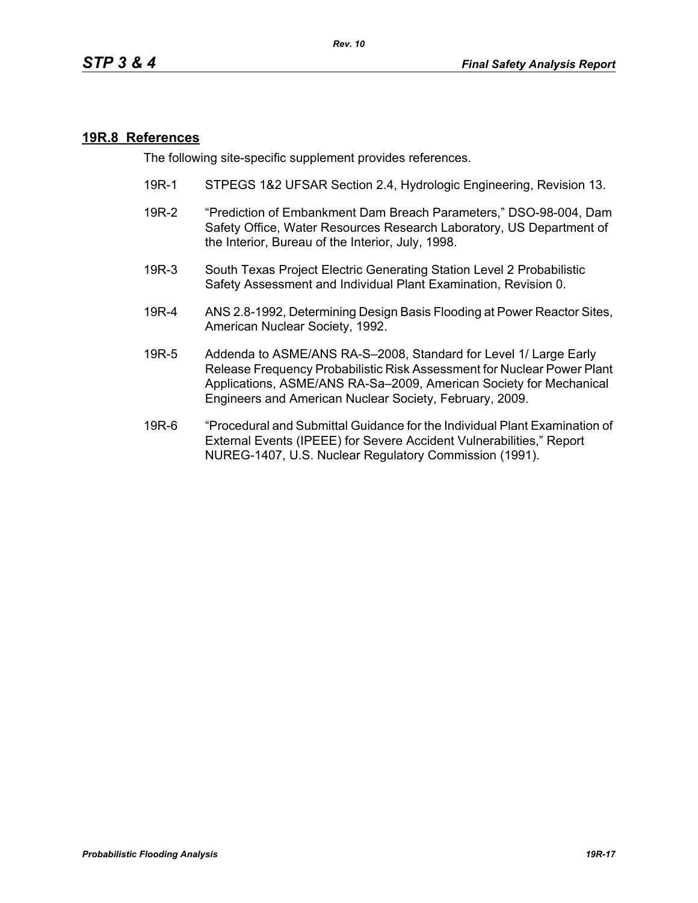#### **19R.8 References**

The following site-specific supplement provides references.

- 19R-1 STPEGS 1&2 UFSAR Section 2.4, Hydrologic Engineering, Revision 13.
- 19R-2 "Prediction of Embankment Dam Breach Parameters," DSO-98-004, Dam Safety Office, Water Resources Research Laboratory, US Department of the Interior, Bureau of the Interior, July, 1998.
- 19R-3 South Texas Project Electric Generating Station Level 2 Probabilistic Safety Assessment and Individual Plant Examination, Revision 0.
- 19R-4 ANS 2.8-1992, Determining Design Basis Flooding at Power Reactor Sites, American Nuclear Society, 1992.
- 19R-5 Addenda to ASME/ANS RA-S–2008, Standard for Level 1/ Large Early Release Frequency Probabilistic Risk Assessment for Nuclear Power Plant Applications, ASME/ANS RA-Sa–2009, American Society for Mechanical Engineers and American Nuclear Society, February, 2009.
- 19R-6 "Procedural and Submittal Guidance for the Individual Plant Examination of External Events (IPEEE) for Severe Accident Vulnerabilities," Report NUREG-1407, U.S. Nuclear Regulatory Commission (1991).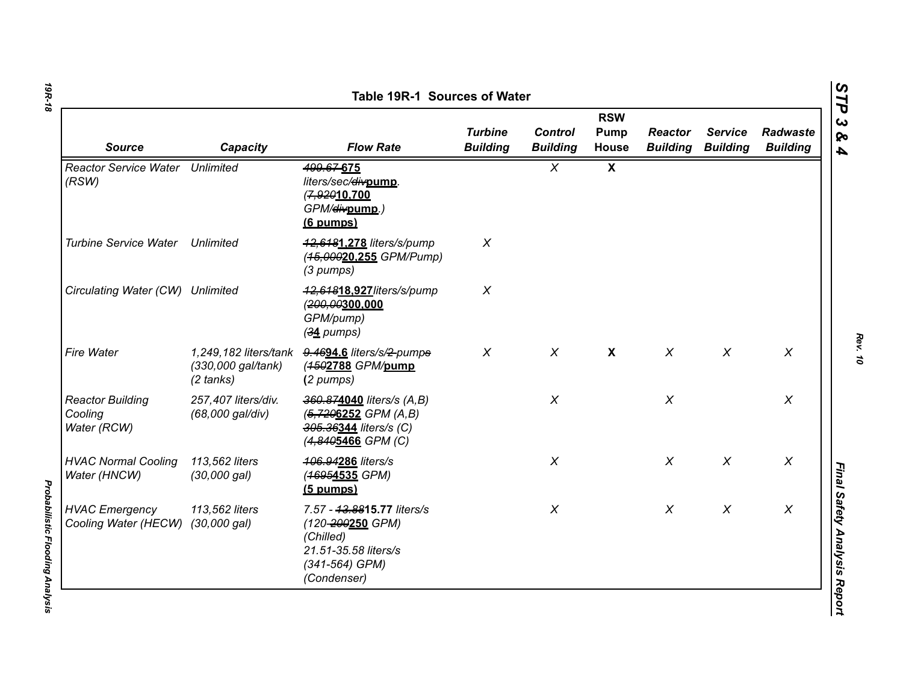| <b>Source</b>                                     | Capacity                                  | <b>Flow Rate</b>                                                                                                     | <b>Turbine</b><br><b>Building</b> | <b>Control</b><br><b>Building</b> | <b>RSW</b><br>Pump<br>House | <b>Reactor</b><br><b>Building</b> | <b>Service</b><br><b>Building</b> | Radwaste<br><b>Building</b> |
|---------------------------------------------------|-------------------------------------------|----------------------------------------------------------------------------------------------------------------------|-----------------------------------|-----------------------------------|-----------------------------|-----------------------------------|-----------------------------------|-----------------------------|
| <b>Reactor Service Water Unlimited</b><br>(RSW)   |                                           | 499.67-675<br>liters/sec/divpump.<br>(7,92010.700<br>GPM/ <del>div</del> pump.)<br>(6 pumps)                         |                                   | $\chi$                            | $\boldsymbol{\mathsf{X}}$   |                                   |                                   |                             |
| <b>Turbine Service Water</b>                      | Unlimited                                 | 42,6481,278 liters/s/pump<br>(45,00020.255 GPM/Pump)<br>(3 pumps)                                                    | $\chi$                            |                                   |                             |                                   |                                   |                             |
| Circulating Water (CW) Unlimited                  |                                           | 42,64818.927/iters/s/pump<br>(200,00300,000<br>GPM/pump)<br>$(34$ pumps)                                             | $\boldsymbol{X}$                  |                                   |                             |                                   |                                   |                             |
| <b>Fire Water</b>                                 | (330,000 gal/tank)<br>$(2 \text{ tanks})$ | 1,249,182 liters/tank 9.4694.6 liters/s/2-pumps<br>(4502788 GPM/pump<br>(2 pumps)                                    | $\chi$                            | $\chi$                            | $\boldsymbol{\mathsf{X}}$   | $\chi$                            | $\chi$                            | $\chi$                      |
| <b>Reactor Building</b><br>Cooling<br>Water (RCW) | 257,407 liters/div.<br>(68,000 gal/div)   | 360.874040 liters/s (A,B)<br>$(5, 7206252 \text{ GPM } (A, B))$<br>305.36344 liters/s (C)<br>(4,8405466 GPM (C)      |                                   | $\chi$                            |                             | $\chi$                            |                                   | $\chi$                      |
| <b>HVAC Normal Cooling</b><br>Water (HNCW)        | 113,562 liters<br>(30,000 gal)            | 406.94286 liters/s<br>(46954535 GPM)<br>$(5$ pumps)                                                                  |                                   | $\chi$                            |                             | $\chi$                            | $\pmb{\chi}$                      | X                           |
| <b>HVAC Emergency</b><br>Cooling Water (HECW)     | 113,562 liters<br>$(30,000 \text{ gal})$  | 7.57 - 43.8815.77 liters/s<br>(120-200250 GPM)<br>(Chilled)<br>21.51-35.58 liters/s<br>(341-564) GPM)<br>(Condenser) |                                   | $\chi$                            |                             | $\chi$                            | $\chi$                            | $\chi$                      |

*Probabilistic Flooding Analysis* 

**Probabilistic Flooding Analysis**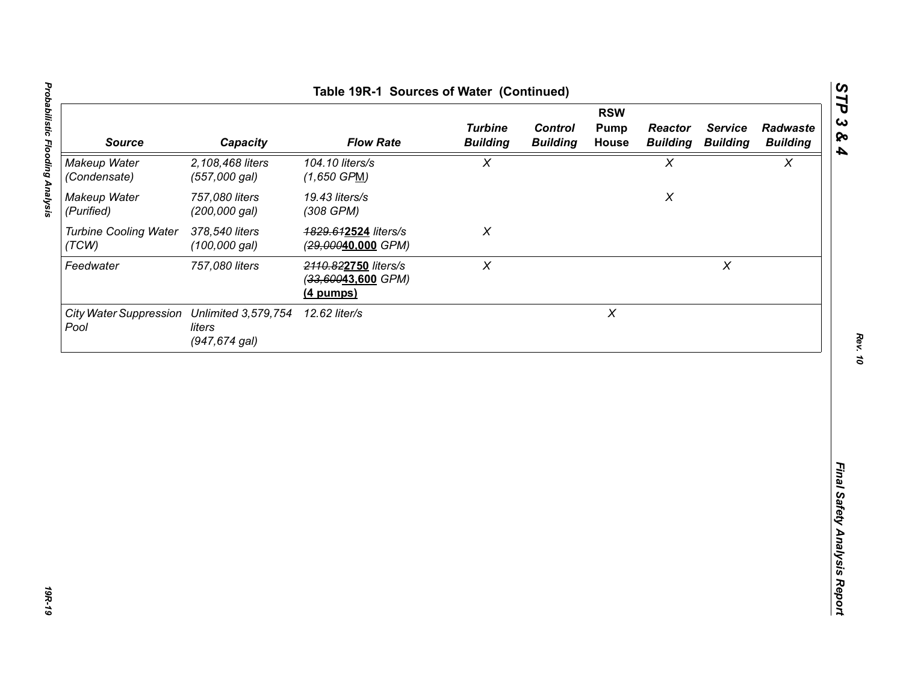| 104.10 liters/s<br>$\chi$<br>$\chi$<br>$\chi$<br>2,108,468 liters<br>(557,000 gal)<br>$(1,650$ GPM)<br>757,080 liters<br>19.43 liters/s<br>$\pmb{\chi}$<br>(200,000 gal)<br>(308 GPM)<br>378,540 liters<br>$\chi$<br>4829.612524 liters/s<br>$(100,000$ gal)<br>(29,00040,000 GPM)<br>$\pmb{\chi}$<br>$\pmb{\times}$<br>757,080 liters<br>2110.822750 liters/s<br>(33,60043,600 GPM)<br>(4 pumps)<br>$\boldsymbol{X}$<br>12.62 liter/s<br>liters | <b>Source</b>                | Capacity         | <b>Flow Rate</b> | <b>Turbine</b><br><b>Building</b> | <b>Control</b><br><b>Building</b> | <b>RSW</b><br><b>Pump</b><br>House | <b>Reactor</b><br><b>Building</b> | <b>Service</b><br><b>Building</b> | Radwaste<br><b>Building</b> |
|--------------------------------------------------------------------------------------------------------------------------------------------------------------------------------------------------------------------------------------------------------------------------------------------------------------------------------------------------------------------------------------------------------------------------------------------------|------------------------------|------------------|------------------|-----------------------------------|-----------------------------------|------------------------------------|-----------------------------------|-----------------------------------|-----------------------------|
| Makeup Water<br>(Purified)<br><b>Turbine Cooling Water</b><br>(TCW)<br>Feedwater<br>City Water Suppression Unlimited 3,579,754<br>Pool                                                                                                                                                                                                                                                                                                           | Makeup Water<br>(Condensate) |                  |                  |                                   |                                   |                                    |                                   |                                   |                             |
|                                                                                                                                                                                                                                                                                                                                                                                                                                                  |                              |                  |                  |                                   |                                   |                                    |                                   |                                   |                             |
|                                                                                                                                                                                                                                                                                                                                                                                                                                                  |                              |                  |                  |                                   |                                   |                                    |                                   |                                   |                             |
|                                                                                                                                                                                                                                                                                                                                                                                                                                                  |                              |                  |                  |                                   |                                   |                                    |                                   |                                   |                             |
|                                                                                                                                                                                                                                                                                                                                                                                                                                                  |                              | $(947, 674$ gal) |                  |                                   |                                   |                                    |                                   |                                   |                             |
|                                                                                                                                                                                                                                                                                                                                                                                                                                                  |                              |                  |                  |                                   |                                   |                                    |                                   |                                   |                             |
|                                                                                                                                                                                                                                                                                                                                                                                                                                                  |                              |                  |                  |                                   |                                   |                                    |                                   |                                   |                             |
|                                                                                                                                                                                                                                                                                                                                                                                                                                                  |                              |                  |                  |                                   |                                   |                                    |                                   |                                   |                             |
|                                                                                                                                                                                                                                                                                                                                                                                                                                                  |                              |                  |                  |                                   |                                   |                                    |                                   |                                   |                             |
|                                                                                                                                                                                                                                                                                                                                                                                                                                                  |                              |                  |                  |                                   |                                   |                                    |                                   |                                   |                             |
|                                                                                                                                                                                                                                                                                                                                                                                                                                                  |                              |                  |                  |                                   |                                   |                                    |                                   |                                   |                             |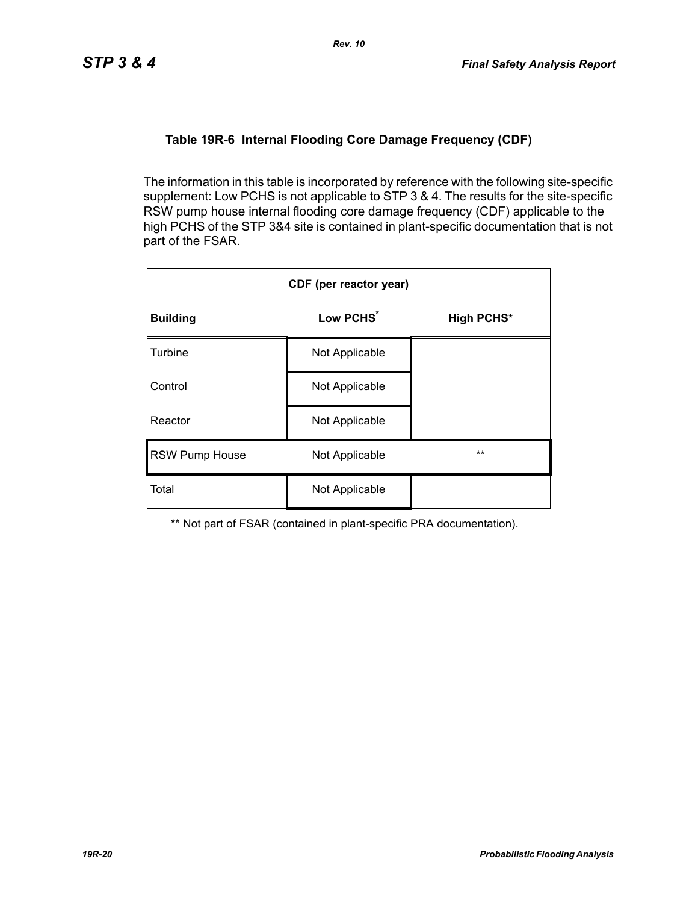### **Table 19R-6 Internal Flooding Core Damage Frequency (CDF)**

The information in this table is incorporated by reference with the following site-specific supplement: Low PCHS is not applicable to STP 3 & 4. The results for the site-specific RSW pump house internal flooding core damage frequency (CDF) applicable to the high PCHS of the STP 3&4 site is contained in plant-specific documentation that is not part of the FSAR.

| CDF (per reactor year) |                       |                   |  |  |  |  |
|------------------------|-----------------------|-------------------|--|--|--|--|
| <b>Building</b>        | Low PCHS <sup>*</sup> | <b>High PCHS*</b> |  |  |  |  |
| Turbine                | Not Applicable        |                   |  |  |  |  |
| Control                | Not Applicable        |                   |  |  |  |  |
| Reactor                | Not Applicable        |                   |  |  |  |  |
| <b>RSW Pump House</b>  | Not Applicable        | $***$             |  |  |  |  |
| Total                  | Not Applicable        |                   |  |  |  |  |

\*\* Not part of FSAR (contained in plant-specific PRA documentation).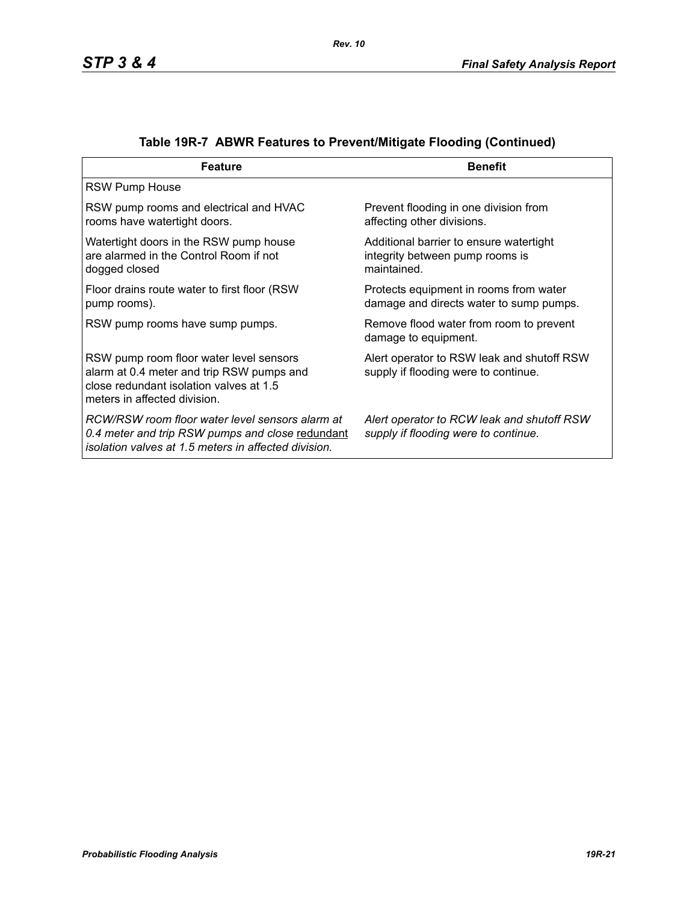| <b>Feature</b>                                                                                                                                                  | <b>Benefit</b>                                                                            |
|-----------------------------------------------------------------------------------------------------------------------------------------------------------------|-------------------------------------------------------------------------------------------|
| <b>RSW Pump House</b>                                                                                                                                           |                                                                                           |
| RSW pump rooms and electrical and HVAC<br>rooms have watertight doors.                                                                                          | Prevent flooding in one division from<br>affecting other divisions.                       |
| Watertight doors in the RSW pump house<br>are alarmed in the Control Room if not<br>dogged closed                                                               | Additional barrier to ensure watertight<br>integrity between pump rooms is<br>maintained. |
| Floor drains route water to first floor (RSW)<br>pump rooms).                                                                                                   | Protects equipment in rooms from water<br>damage and directs water to sump pumps.         |
| RSW pump rooms have sump pumps.                                                                                                                                 | Remove flood water from room to prevent<br>damage to equipment.                           |
| RSW pump room floor water level sensors<br>alarm at 0.4 meter and trip RSW pumps and<br>close redundant isolation valves at 1.5<br>meters in affected division. | Alert operator to RSW leak and shutoff RSW<br>supply if flooding were to continue.        |
| RCW/RSW room floor water level sensors alarm at<br>0.4 meter and trip RSW pumps and close redundant<br>isolation valves at 1.5 meters in affected division.     | Alert operator to RCW leak and shutoff RSW<br>supply if flooding were to continue.        |

|  | Table 19R-7 ABWR Features to Prevent/Mitigate Flooding (Continued) |  |  |  |
|--|--------------------------------------------------------------------|--|--|--|
|--|--------------------------------------------------------------------|--|--|--|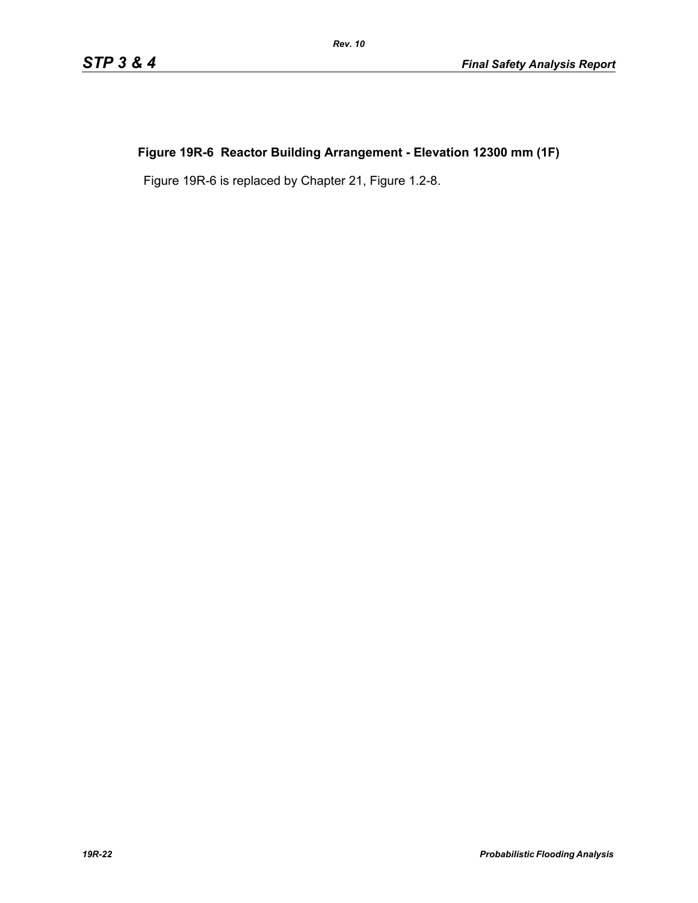# **Figure 19R-6 Reactor Building Arrangement - Elevation 12300 mm (1F)**

Figure 19R-6 is replaced by Chapter 21, Figure 1.2-8.